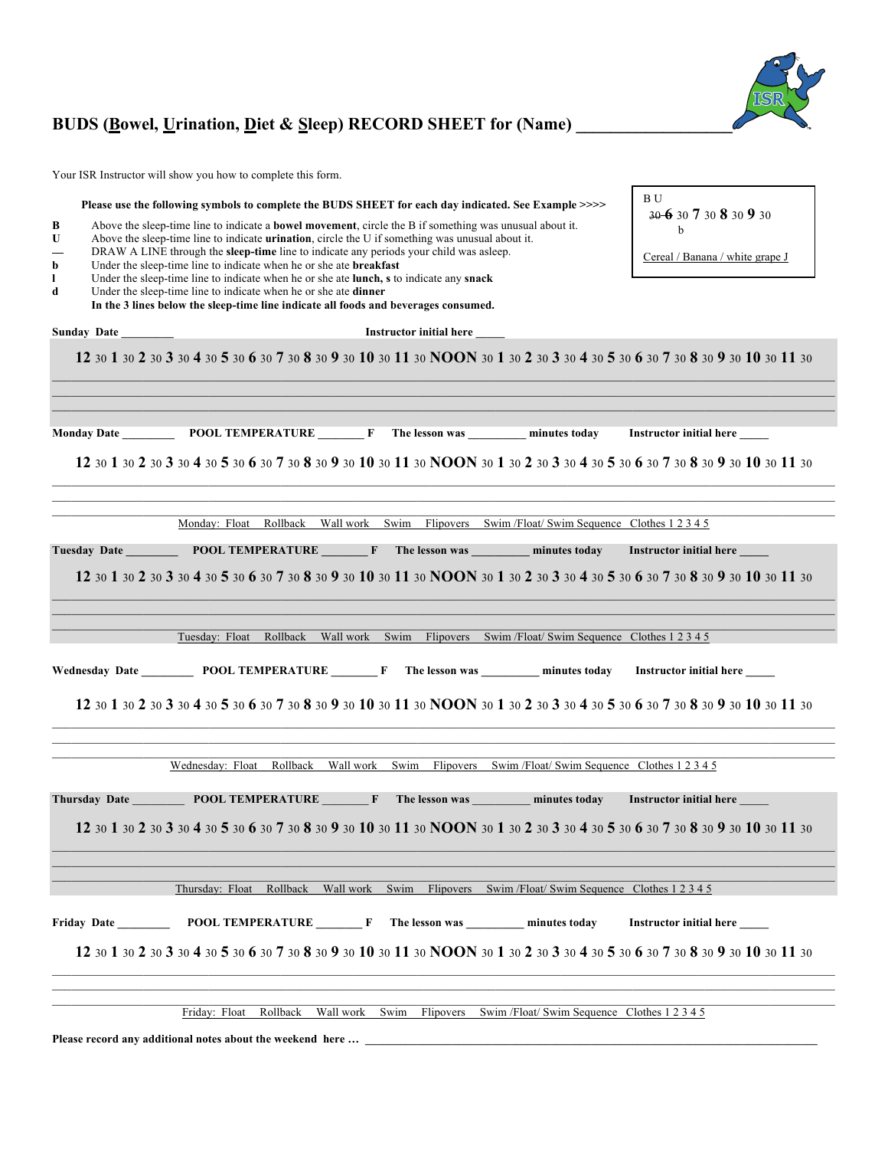## BUDS (Bowel, Urination, Diet & Sleep) RECORD SHEET for (Name)

Your ISR Instructor will show you how to complete this form.

| В<br>U<br>b<br>1<br>d | Please use the following symbols to complete the BUDS SHEET for each day indicated. See Example >>>><br>Above the sleep-time line to indicate a <b>bowel movement</b> , circle the B if something was unusual about it.<br>Above the sleep-time line to indicate <b>urination</b> , circle the U if something was unusual about it.<br>DRAW A LINE through the sleep-time line to indicate any periods your child was asleep.<br>Under the sleep-time line to indicate when he or she ate <b>breakfast</b><br>Under the sleep-time line to indicate when he or she ate lunch, s to indicate any snack<br>Under the sleep-time line to indicate when he or she ate dinner<br>In the 3 lines below the sleep-time line indicate all foods and beverages consumed. | B U<br>30 6 30 7 30 8 30 9 30<br>Cereal / Banana / white grape J |
|-----------------------|-----------------------------------------------------------------------------------------------------------------------------------------------------------------------------------------------------------------------------------------------------------------------------------------------------------------------------------------------------------------------------------------------------------------------------------------------------------------------------------------------------------------------------------------------------------------------------------------------------------------------------------------------------------------------------------------------------------------------------------------------------------------|------------------------------------------------------------------|
| <b>Sunday Date</b>    | <b>Instructor initial here</b>                                                                                                                                                                                                                                                                                                                                                                                                                                                                                                                                                                                                                                                                                                                                  |                                                                  |
|                       | 12 30 1 30 2 30 3 30 4 30 5 30 6 30 7 30 8 30 9 30 10 30 11 30 NOON 30 1 30 2 30 3 30 4 30 5 30 6 30 7 30 8 30 9 30 10 30 11 30                                                                                                                                                                                                                                                                                                                                                                                                                                                                                                                                                                                                                                 |                                                                  |
|                       | 12 30 1 30 2 30 3 30 4 30 5 30 6 30 7 30 8 30 9 30 10 30 11 30 NOON 30 1 30 2 30 3 30 4 30 5 30 6 30 7 30 8 30 9 30 10 30 11 30                                                                                                                                                                                                                                                                                                                                                                                                                                                                                                                                                                                                                                 |                                                                  |
|                       | Monday: Float Rollback Wallwork Swim Flipovers Swim/Float/Swim Sequence Clothes 1 2 3 4 5                                                                                                                                                                                                                                                                                                                                                                                                                                                                                                                                                                                                                                                                       |                                                                  |
|                       | Tuesday Date POOL TEMPERATURE F The lesson was minutes today<br>12 30 1 30 2 30 3 30 4 30 5 30 6 30 7 30 8 30 9 30 10 30 11 30 NOON 30 1 30 2 30 3 30 4 30 5 30 6 30 7 30 8 30 9 30 10 30 11 30                                                                                                                                                                                                                                                                                                                                                                                                                                                                                                                                                                 | Instructor initial here                                          |
|                       | Tuesday: Float Rollback Wallwork Swim Flipovers Swim/Float/Swim Sequence Clothes 1 2 3 4 5                                                                                                                                                                                                                                                                                                                                                                                                                                                                                                                                                                                                                                                                      |                                                                  |
|                       | Wednesday Date POOL TEMPERATURE F The lesson was minutes today Instructor initial here<br>12 30 1 30 2 30 3 30 4 30 5 30 6 30 7 30 8 30 9 30 10 30 11 30 NOON 30 1 30 2 30 3 30 4 30 5 30 6 30 7 30 8 30 9 30 10 30 11 30                                                                                                                                                                                                                                                                                                                                                                                                                                                                                                                                       |                                                                  |
|                       | Wednesday: Float Rollback Wall work Swim Flipovers Swim /Float/ Swim Sequence Clothes 1 2 3 4 5                                                                                                                                                                                                                                                                                                                                                                                                                                                                                                                                                                                                                                                                 |                                                                  |
|                       | Thursday Date <b>DEPARTURE</b> F The lesson was minutes today<br>12 30 1 30 2 30 3 30 4 30 5 30 6 30 7 30 8 30 9 30 10 30 11 30 NOON 30 1 30 2 30 3 30 4 30 5 30 6 30 7 30 8 30 9 30 10 30 11 30                                                                                                                                                                                                                                                                                                                                                                                                                                                                                                                                                                | <b>Instructor initial here</b>                                   |
|                       | Thursday: Float Rollback Wall work Swim Flipovers Swim/Float/Swim Sequence Clothes 1 2 3 4 5                                                                                                                                                                                                                                                                                                                                                                                                                                                                                                                                                                                                                                                                    |                                                                  |
| <b>Friday Date</b>    | POOL TEMPERATURE F The lesson was _________ minutes today                                                                                                                                                                                                                                                                                                                                                                                                                                                                                                                                                                                                                                                                                                       | Instructor initial here                                          |
|                       | 12 30 1 30 2 30 3 30 4 30 5 30 6 30 7 30 8 30 9 30 10 30 11 30 NOON 30 1 30 2 30 3 30 4 30 5 30 6 30 7 30 8 30 9 30 10 30 11 30                                                                                                                                                                                                                                                                                                                                                                                                                                                                                                                                                                                                                                 |                                                                  |
|                       | Friday: Float<br>Rollback<br>Wall work<br>Swim<br>Flipovers<br>Swim /Float/ Swim Sequence Clothes 1 2 3 4 5                                                                                                                                                                                                                                                                                                                                                                                                                                                                                                                                                                                                                                                     |                                                                  |

**Please record any additional notes about the weekend here … \_\_\_\_\_\_\_\_\_\_\_\_\_\_\_\_\_\_\_\_\_\_\_\_\_\_\_\_\_\_\_\_\_\_\_\_\_\_\_\_\_\_\_\_\_\_\_\_\_\_\_\_\_\_\_\_\_\_\_\_\_\_\_\_\_\_\_\_\_\_\_\_\_\_\_\_\_\_**